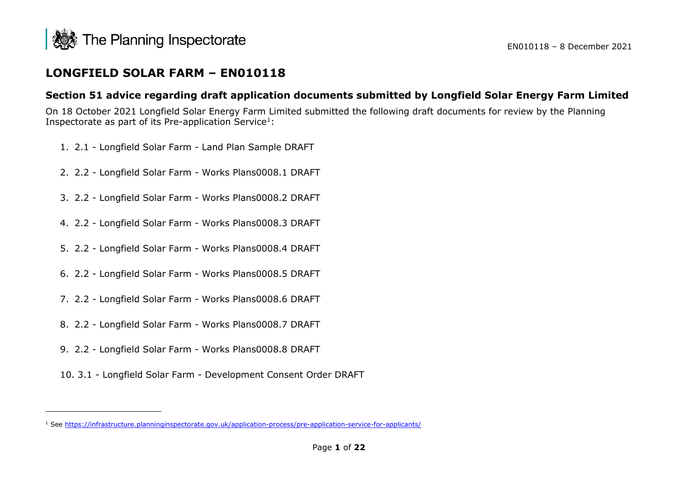<span id="page-0-0"></span>

# **LONGFIELD SOLAR FARM – EN010118**

# **Section 51 advice regarding draft application documents submitted by Longfield Solar Energy Farm Limited**

On 18 October 2021 Longfield Solar Energy Farm Limited submitted the following draft documents for review by the Planning Inspectorate as part of its Pre-application Service<sup>[1](#page-0-0)</sup>:

- 1. 2.1 Longfield Solar Farm Land Plan Sample DRAFT
- 2. 2.2 Longfield Solar Farm Works Plans0008.1 DRAFT
- 3. 2.2 Longfield Solar Farm Works Plans0008.2 DRAFT
- 4. 2.2 Longfield Solar Farm Works Plans0008.3 DRAFT
- 5. 2.2 Longfield Solar Farm Works Plans0008.4 DRAFT
- 6. 2.2 Longfield Solar Farm Works Plans0008.5 DRAFT
- 7. 2.2 Longfield Solar Farm Works Plans0008.6 DRAFT
- 8. 2.2 Longfield Solar Farm Works Plans0008.7 DRAFT
- 9. 2.2 Longfield Solar Farm Works Plans0008.8 DRAFT
- 10. 3.1 Longfield Solar Farm Development Consent Order DRAFT

<sup>1</sup> See<https://infrastructure.planninginspectorate.gov.uk/application-process/pre-application-service-for-applicants/>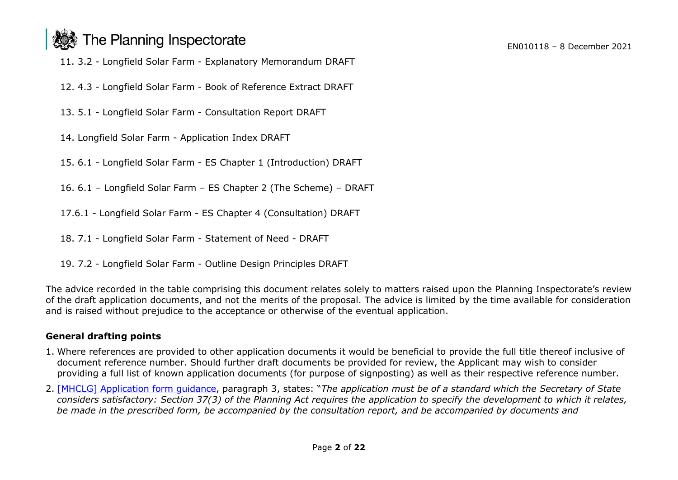# The Planning Inspectorate

11. 3.2 - Longfield Solar Farm - Explanatory Memorandum DRAFT

- 12. 4.3 Longfield Solar Farm Book of Reference Extract DRAFT
- 13. 5.1 Longfield Solar Farm Consultation Report DRAFT
- 14. Longfield Solar Farm Application Index DRAFT
- 15. 6.1 Longfield Solar Farm ES Chapter 1 (Introduction) DRAFT
- 16. 6.1 Longfield Solar Farm ES Chapter 2 (The Scheme) DRAFT
- 17.6.1 Longfield Solar Farm ES Chapter 4 (Consultation) DRAFT
- 18. 7.1 Longfield Solar Farm Statement of Need DRAFT
- 19. 7.2 Longfield Solar Farm Outline Design Principles DRAFT

The advice recorded in the table comprising this document relates solely to matters raised upon the Planning Inspectorate's review of the draft application documents, and not the merits of the proposal. The advice is limited by the time available for consideration and is raised without prejudice to the acceptance or otherwise of the eventual application.

# **General drafting points**

- 1. Where references are provided to other application documents it would be beneficial to provide the full title thereof inclusive of document reference number. Should further draft documents be provided for review, the Applicant may wish to consider providing a full list of known application documents (for purpose of signposting) as well as their respective reference number.
- 2. [\[MHCLG\] Application form guidance,](https://www.gov.uk/government/uploads/system/uploads/attachment_data/file/204425/Planning_Act_2008_-_application_form_guidance.pdf) paragraph 3, states: "*The application must be of a standard which the Secretary of State considers satisfactory: Section 37(3) of the Planning Act requires the application to specify the development to which it relates,* be made in the prescribed form, be accompanied by the consultation report, and be accompanied by documents and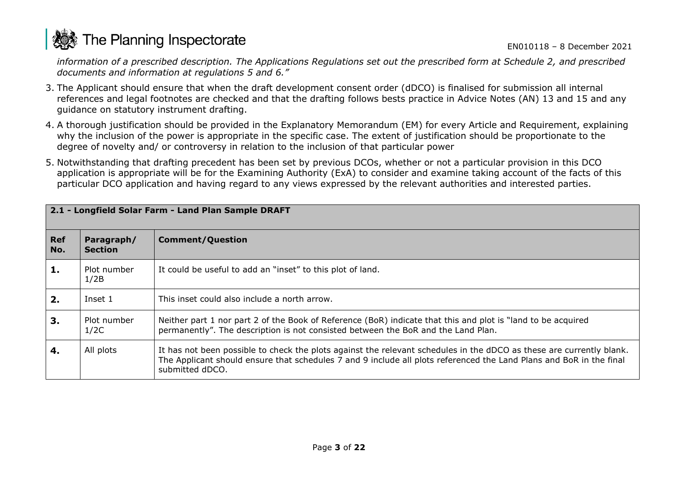

*information of a prescribed description. The Applications Regulations set out the prescribed form at Schedule 2, and prescribed documents and information at regulations 5 and 6."*

- 3. The Applicant should ensure that when the draft development consent order (dDCO) is finalised for submission all internal references and legal footnotes are checked and that the drafting follows bests practice in Advice Notes (AN) 13 and 15 and any guidance on statutory instrument drafting.
- 4. A thorough justification should be provided in the Explanatory Memorandum (EM) for every Article and Requirement, explaining why the inclusion of the power is appropriate in the specific case. The extent of justification should be proportionate to the degree of novelty and/ or controversy in relation to the inclusion of that particular power
- 5. Notwithstanding that drafting precedent has been set by previous DCOs, whether or not a particular provision in this DCO application is appropriate will be for the Examining Authority (ExA) to consider and examine taking account of the facts of this particular DCO application and having regard to any views expressed by the relevant authorities and interested parties.

| 2.1 - Longfield Solar Farm - Land Plan Sample DRAFT |                              |                                                                                                                                                                                                                                                                |
|-----------------------------------------------------|------------------------------|----------------------------------------------------------------------------------------------------------------------------------------------------------------------------------------------------------------------------------------------------------------|
| <b>Ref</b><br>No.                                   | Paragraph/<br><b>Section</b> | <b>Comment/Question</b>                                                                                                                                                                                                                                        |
| 1.                                                  | Plot number<br>1/2B          | It could be useful to add an "inset" to this plot of land.                                                                                                                                                                                                     |
| 2.                                                  | Inset 1                      | This inset could also include a north arrow.                                                                                                                                                                                                                   |
| 3.                                                  | Plot number<br>1/2C          | Neither part 1 nor part 2 of the Book of Reference (BoR) indicate that this and plot is "land to be acquired<br>permanently". The description is not consisted between the BoR and the Land Plan.                                                              |
| 4.                                                  | All plots                    | It has not been possible to check the plots against the relevant schedules in the dDCO as these are currently blank.<br>The Applicant should ensure that schedules 7 and 9 include all plots referenced the Land Plans and BoR in the final<br>submitted dDCO. |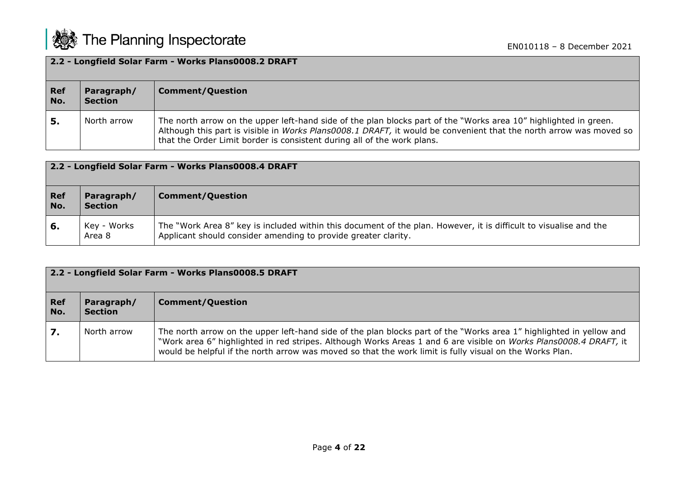

| 2.2 - Longfield Solar Farm - Works Plans0008.2 DRAFT |                              |                                                                                                                                                                                                                                                                                                                   |
|------------------------------------------------------|------------------------------|-------------------------------------------------------------------------------------------------------------------------------------------------------------------------------------------------------------------------------------------------------------------------------------------------------------------|
| <b>Ref</b><br>No.                                    | Paragraph/<br><b>Section</b> | <b>Comment/Question</b>                                                                                                                                                                                                                                                                                           |
|                                                      | North arrow                  | The north arrow on the upper left-hand side of the plan blocks part of the "Works area 10" highlighted in green.<br>Although this part is visible in Works Plans0008.1 DRAFT, it would be convenient that the north arrow was moved so<br>that the Order Limit border is consistent during all of the work plans. |

| 2.2 - Longfield Solar Farm - Works Plans0008.4 DRAFT |                              |                                                                                                                                                                                     |
|------------------------------------------------------|------------------------------|-------------------------------------------------------------------------------------------------------------------------------------------------------------------------------------|
| <b>Ref</b><br>No.                                    | Paragraph/<br><b>Section</b> | <b>Comment/Question</b>                                                                                                                                                             |
| 6.                                                   | Key - Works<br>Area 8        | The "Work Area 8" key is included within this document of the plan. However, it is difficult to visualise and the<br>Applicant should consider amending to provide greater clarity. |

| 2.2 - Longfield Solar Farm - Works Plans0008.5 DRAFT |                              |                                                                                                                                                                                                                                                                                                                                                     |
|------------------------------------------------------|------------------------------|-----------------------------------------------------------------------------------------------------------------------------------------------------------------------------------------------------------------------------------------------------------------------------------------------------------------------------------------------------|
| <b>Ref</b><br>No.                                    | Paragraph/<br><b>Section</b> | <b>Comment/Question</b>                                                                                                                                                                                                                                                                                                                             |
| 7.                                                   | North arrow                  | The north arrow on the upper left-hand side of the plan blocks part of the "Works area 1" highlighted in yellow and<br>"Work area 6" highlighted in red stripes. Although Works Areas 1 and 6 are visible on Works Plans0008.4 DRAFT, it<br>would be helpful if the north arrow was moved so that the work limit is fully visual on the Works Plan. |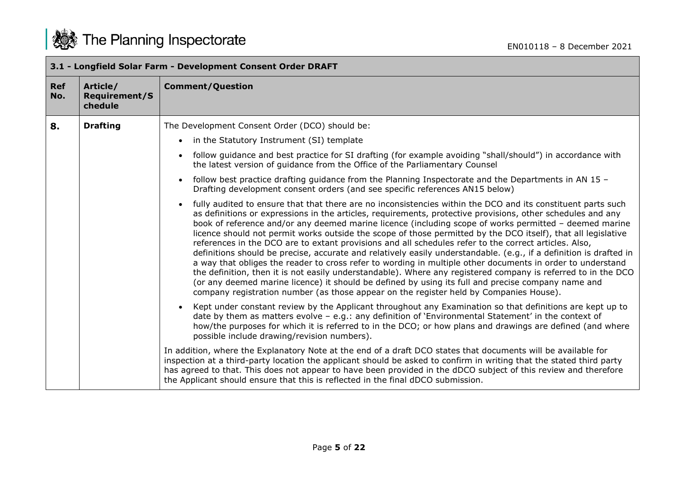|                   |                                             | 3.1 - Longfield Solar Farm - Development Consent Order DRAFT                                                                                                                                                                                                                                                                                                                                                                                                                                                                                                                                                                                                                                                                                                                                                                                                                                                                                                                                                                                                                                                                      |
|-------------------|---------------------------------------------|-----------------------------------------------------------------------------------------------------------------------------------------------------------------------------------------------------------------------------------------------------------------------------------------------------------------------------------------------------------------------------------------------------------------------------------------------------------------------------------------------------------------------------------------------------------------------------------------------------------------------------------------------------------------------------------------------------------------------------------------------------------------------------------------------------------------------------------------------------------------------------------------------------------------------------------------------------------------------------------------------------------------------------------------------------------------------------------------------------------------------------------|
| <b>Ref</b><br>No. | Article/<br><b>Requirement/S</b><br>chedule | <b>Comment/Question</b>                                                                                                                                                                                                                                                                                                                                                                                                                                                                                                                                                                                                                                                                                                                                                                                                                                                                                                                                                                                                                                                                                                           |
| 8.                | <b>Drafting</b>                             | The Development Consent Order (DCO) should be:                                                                                                                                                                                                                                                                                                                                                                                                                                                                                                                                                                                                                                                                                                                                                                                                                                                                                                                                                                                                                                                                                    |
|                   |                                             | • in the Statutory Instrument (SI) template                                                                                                                                                                                                                                                                                                                                                                                                                                                                                                                                                                                                                                                                                                                                                                                                                                                                                                                                                                                                                                                                                       |
|                   |                                             | follow guidance and best practice for SI drafting (for example avoiding "shall/should") in accordance with<br>$\bullet$<br>the latest version of quidance from the Office of the Parliamentary Counsel                                                                                                                                                                                                                                                                                                                                                                                                                                                                                                                                                                                                                                                                                                                                                                                                                                                                                                                            |
|                   |                                             | follow best practice drafting guidance from the Planning Inspectorate and the Departments in AN 15 -<br>$\bullet$<br>Drafting development consent orders (and see specific references AN15 below)                                                                                                                                                                                                                                                                                                                                                                                                                                                                                                                                                                                                                                                                                                                                                                                                                                                                                                                                 |
|                   |                                             | fully audited to ensure that that there are no inconsistencies within the DCO and its constituent parts such<br>$\bullet$<br>as definitions or expressions in the articles, requirements, protective provisions, other schedules and any<br>book of reference and/or any deemed marine licence (including scope of works permitted - deemed marine<br>licence should not permit works outside the scope of those permitted by the DCO itself), that all legislative<br>references in the DCO are to extant provisions and all schedules refer to the correct articles. Also,<br>definitions should be precise, accurate and relatively easily understandable. (e.g., if a definition is drafted in<br>a way that obliges the reader to cross refer to wording in multiple other documents in order to understand<br>the definition, then it is not easily understandable). Where any registered company is referred to in the DCO<br>(or any deemed marine licence) it should be defined by using its full and precise company name and<br>company registration number (as those appear on the register held by Companies House). |
|                   |                                             | Kept under constant review by the Applicant throughout any Examination so that definitions are kept up to<br>date by them as matters evolve - e.g.: any definition of 'Environmental Statement' in the context of<br>how/the purposes for which it is referred to in the DCO; or how plans and drawings are defined (and where<br>possible include drawing/revision numbers).                                                                                                                                                                                                                                                                                                                                                                                                                                                                                                                                                                                                                                                                                                                                                     |
|                   |                                             | In addition, where the Explanatory Note at the end of a draft DCO states that documents will be available for<br>inspection at a third-party location the applicant should be asked to confirm in writing that the stated third party<br>has agreed to that. This does not appear to have been provided in the dDCO subject of this review and therefore<br>the Applicant should ensure that this is reflected in the final dDCO submission.                                                                                                                                                                                                                                                                                                                                                                                                                                                                                                                                                                                                                                                                                      |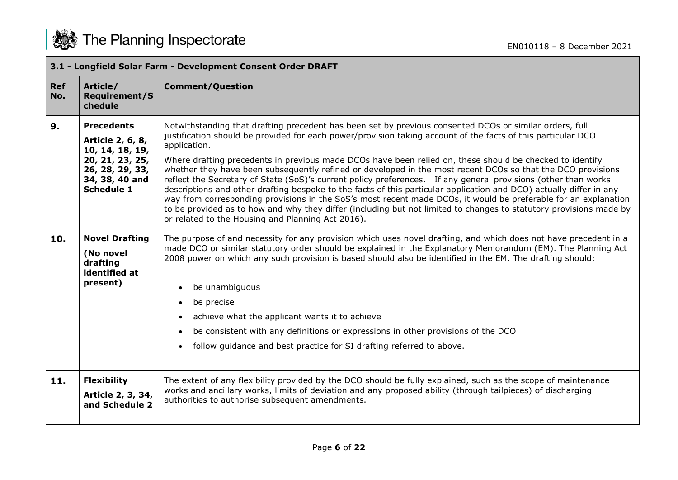

|                   | 3.1 - Longfield Solar Farm - Development Consent Order DRAFT                                                                          |                                                                                                                                                                                                                                                                                                                                                                                                                                                                                                                                                                                                                                                                                                                                                                                                                                                                                                                                                                                                           |  |
|-------------------|---------------------------------------------------------------------------------------------------------------------------------------|-----------------------------------------------------------------------------------------------------------------------------------------------------------------------------------------------------------------------------------------------------------------------------------------------------------------------------------------------------------------------------------------------------------------------------------------------------------------------------------------------------------------------------------------------------------------------------------------------------------------------------------------------------------------------------------------------------------------------------------------------------------------------------------------------------------------------------------------------------------------------------------------------------------------------------------------------------------------------------------------------------------|--|
| <b>Ref</b><br>No. | Article/<br><b>Requirement/S</b><br>chedule                                                                                           | <b>Comment/Question</b>                                                                                                                                                                                                                                                                                                                                                                                                                                                                                                                                                                                                                                                                                                                                                                                                                                                                                                                                                                                   |  |
| 9.                | <b>Precedents</b><br>Article 2, 6, 8,<br>10, 14, 18, 19,<br>20, 21, 23, 25,<br>26, 28, 29, 33,<br>34, 38, 40 and<br><b>Schedule 1</b> | Notwithstanding that drafting precedent has been set by previous consented DCOs or similar orders, full<br>justification should be provided for each power/provision taking account of the facts of this particular DCO<br>application.<br>Where drafting precedents in previous made DCOs have been relied on, these should be checked to identify<br>whether they have been subsequently refined or developed in the most recent DCOs so that the DCO provisions<br>reflect the Secretary of State (SoS)'s current policy preferences. If any general provisions (other than works<br>descriptions and other drafting bespoke to the facts of this particular application and DCO) actually differ in any<br>way from corresponding provisions in the SoS's most recent made DCOs, it would be preferable for an explanation<br>to be provided as to how and why they differ (including but not limited to changes to statutory provisions made by<br>or related to the Housing and Planning Act 2016). |  |
| 10.               | <b>Novel Drafting</b><br>(No novel<br>drafting<br>identified at<br>present)                                                           | The purpose of and necessity for any provision which uses novel drafting, and which does not have precedent in a<br>made DCO or similar statutory order should be explained in the Explanatory Memorandum (EM). The Planning Act<br>2008 power on which any such provision is based should also be identified in the EM. The drafting should:<br>be unambiguous<br>be precise<br>$\bullet$<br>achieve what the applicant wants it to achieve<br>$\bullet$<br>be consistent with any definitions or expressions in other provisions of the DCO<br>follow guidance and best practice for SI drafting referred to above.<br>$\bullet$                                                                                                                                                                                                                                                                                                                                                                        |  |
| 11.               | <b>Flexibility</b><br>Article 2, 3, 34,<br>and Schedule 2                                                                             | The extent of any flexibility provided by the DCO should be fully explained, such as the scope of maintenance<br>works and ancillary works, limits of deviation and any proposed ability (through tailpieces) of discharging<br>authorities to authorise subsequent amendments.                                                                                                                                                                                                                                                                                                                                                                                                                                                                                                                                                                                                                                                                                                                           |  |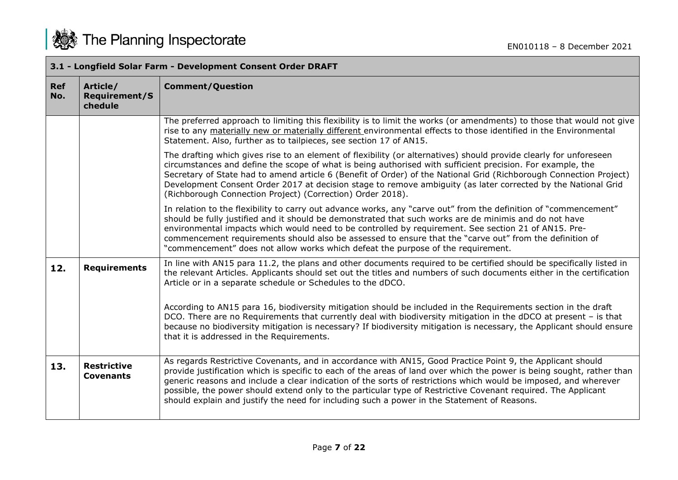|                   | 3.1 - Longfield Solar Farm - Development Consent Order DRAFT |                                                                                                                                                                                                                                                                                                                                                                                                                                                                                                                                                                          |  |
|-------------------|--------------------------------------------------------------|--------------------------------------------------------------------------------------------------------------------------------------------------------------------------------------------------------------------------------------------------------------------------------------------------------------------------------------------------------------------------------------------------------------------------------------------------------------------------------------------------------------------------------------------------------------------------|--|
| <b>Ref</b><br>No. | Article/<br><b>Requirement/S</b><br>chedule                  | <b>Comment/Question</b>                                                                                                                                                                                                                                                                                                                                                                                                                                                                                                                                                  |  |
|                   |                                                              | The preferred approach to limiting this flexibility is to limit the works (or amendments) to those that would not give<br>rise to any materially new or materially different environmental effects to those identified in the Environmental<br>Statement. Also, further as to tailpieces, see section 17 of AN15.                                                                                                                                                                                                                                                        |  |
|                   |                                                              | The drafting which gives rise to an element of flexibility (or alternatives) should provide clearly for unforeseen<br>circumstances and define the scope of what is being authorised with sufficient precision. For example, the<br>Secretary of State had to amend article 6 (Benefit of Order) of the National Grid (Richborough Connection Project)<br>Development Consent Order 2017 at decision stage to remove ambiguity (as later corrected by the National Grid<br>(Richborough Connection Project) (Correction) Order 2018).                                    |  |
|                   |                                                              | In relation to the flexibility to carry out advance works, any "carve out" from the definition of "commencement"<br>should be fully justified and it should be demonstrated that such works are de minimis and do not have<br>environmental impacts which would need to be controlled by requirement. See section 21 of AN15. Pre-<br>commencement requirements should also be assessed to ensure that the "carve out" from the definition of<br>"commencement" does not allow works which defeat the purpose of the requirement.                                        |  |
| 12.               | <b>Requirements</b>                                          | In line with AN15 para 11.2, the plans and other documents required to be certified should be specifically listed in<br>the relevant Articles. Applicants should set out the titles and numbers of such documents either in the certification<br>Article or in a separate schedule or Schedules to the dDCO.                                                                                                                                                                                                                                                             |  |
|                   |                                                              | According to AN15 para 16, biodiversity mitigation should be included in the Requirements section in the draft<br>DCO. There are no Requirements that currently deal with biodiversity mitigation in the dDCO at present - is that<br>because no biodiversity mitigation is necessary? If biodiversity mitigation is necessary, the Applicant should ensure<br>that it is addressed in the Requirements.                                                                                                                                                                 |  |
| 13.               | <b>Restrictive</b><br><b>Covenants</b>                       | As regards Restrictive Covenants, and in accordance with AN15, Good Practice Point 9, the Applicant should<br>provide justification which is specific to each of the areas of land over which the power is being sought, rather than<br>generic reasons and include a clear indication of the sorts of restrictions which would be imposed, and wherever<br>possible, the power should extend only to the particular type of Restrictive Covenant required. The Applicant<br>should explain and justify the need for including such a power in the Statement of Reasons. |  |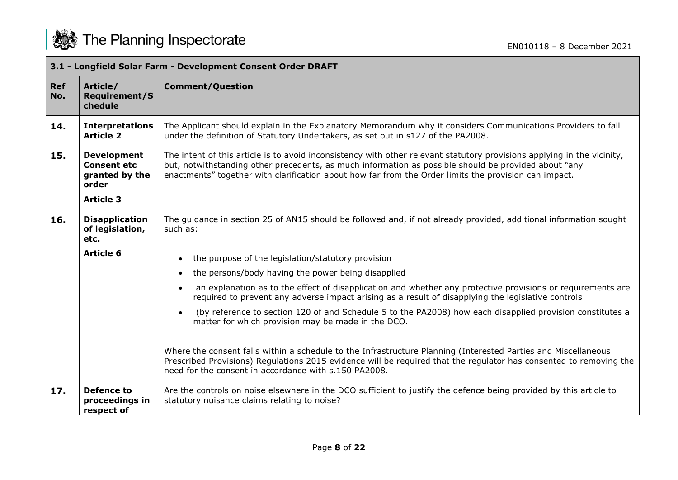

|                   | 3.1 - Longfield Solar Farm - Development Consent Order DRAFT        |                                                                                                                                                                                                                                                                                                                                          |  |
|-------------------|---------------------------------------------------------------------|------------------------------------------------------------------------------------------------------------------------------------------------------------------------------------------------------------------------------------------------------------------------------------------------------------------------------------------|--|
| <b>Ref</b><br>No. | Article/<br><b>Requirement/S</b><br>chedule                         | <b>Comment/Question</b>                                                                                                                                                                                                                                                                                                                  |  |
| 14.               | <b>Interpretations</b><br><b>Article 2</b>                          | The Applicant should explain in the Explanatory Memorandum why it considers Communications Providers to fall<br>under the definition of Statutory Undertakers, as set out in s127 of the PA2008.                                                                                                                                         |  |
| 15.               | <b>Development</b><br><b>Consent etc</b><br>granted by the<br>order | The intent of this article is to avoid inconsistency with other relevant statutory provisions applying in the vicinity,<br>but, notwithstanding other precedents, as much information as possible should be provided about "any<br>enactments" together with clarification about how far from the Order limits the provision can impact. |  |
|                   | <b>Article 3</b>                                                    |                                                                                                                                                                                                                                                                                                                                          |  |
| 16.               | <b>Disapplication</b><br>of legislation,<br>etc.                    | The guidance in section 25 of AN15 should be followed and, if not already provided, additional information sought<br>such as:                                                                                                                                                                                                            |  |
|                   | <b>Article 6</b>                                                    | the purpose of the legislation/statutory provision<br>$\bullet$                                                                                                                                                                                                                                                                          |  |
|                   |                                                                     | the persons/body having the power being disapplied<br>$\bullet$                                                                                                                                                                                                                                                                          |  |
|                   |                                                                     | an explanation as to the effect of disapplication and whether any protective provisions or requirements are<br>$\bullet$<br>required to prevent any adverse impact arising as a result of disapplying the legislative controls                                                                                                           |  |
|                   |                                                                     | (by reference to section 120 of and Schedule 5 to the PA2008) how each disapplied provision constitutes a<br>$\bullet$<br>matter for which provision may be made in the DCO.                                                                                                                                                             |  |
|                   |                                                                     | Where the consent falls within a schedule to the Infrastructure Planning (Interested Parties and Miscellaneous<br>Prescribed Provisions) Regulations 2015 evidence will be required that the regulator has consented to removing the<br>need for the consent in accordance with s.150 PA2008.                                            |  |
| 17.               | <b>Defence to</b><br>proceedings in<br>respect of                   | Are the controls on noise elsewhere in the DCO sufficient to justify the defence being provided by this article to<br>statutory nuisance claims relating to noise?                                                                                                                                                                       |  |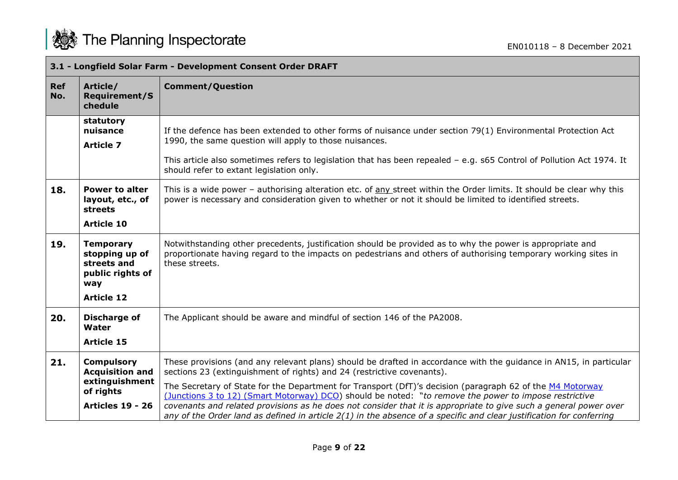

|                   | 3.1 - Longfield Solar Farm - Development Consent Order DRAFT                                          |                                                                                                                                                                                                                                                                                                                                                                                                                                                                                                                                                                                                                                                                   |  |
|-------------------|-------------------------------------------------------------------------------------------------------|-------------------------------------------------------------------------------------------------------------------------------------------------------------------------------------------------------------------------------------------------------------------------------------------------------------------------------------------------------------------------------------------------------------------------------------------------------------------------------------------------------------------------------------------------------------------------------------------------------------------------------------------------------------------|--|
| <b>Ref</b><br>No. | Article/<br><b>Requirement/S</b><br>chedule                                                           | <b>Comment/Question</b>                                                                                                                                                                                                                                                                                                                                                                                                                                                                                                                                                                                                                                           |  |
|                   | statutory<br>nuisance<br><b>Article 7</b>                                                             | If the defence has been extended to other forms of nuisance under section 79(1) Environmental Protection Act<br>1990, the same question will apply to those nuisances.<br>This article also sometimes refers to legislation that has been repealed - e.g. s65 Control of Pollution Act 1974. It<br>should refer to extant legislation only.                                                                                                                                                                                                                                                                                                                       |  |
| 18.               | <b>Power to alter</b><br>layout, etc., of<br>streets<br><b>Article 10</b>                             | This is a wide power - authorising alteration etc. of any street within the Order limits. It should be clear why this<br>power is necessary and consideration given to whether or not it should be limited to identified streets.                                                                                                                                                                                                                                                                                                                                                                                                                                 |  |
| 19.               | <b>Temporary</b><br>stopping up of<br>streets and<br>public rights of<br>way<br><b>Article 12</b>     | Notwithstanding other precedents, justification should be provided as to why the power is appropriate and<br>proportionate having regard to the impacts on pedestrians and others of authorising temporary working sites in<br>these streets.                                                                                                                                                                                                                                                                                                                                                                                                                     |  |
| 20.               | <b>Discharge of</b><br>Water<br><b>Article 15</b>                                                     | The Applicant should be aware and mindful of section 146 of the PA2008.                                                                                                                                                                                                                                                                                                                                                                                                                                                                                                                                                                                           |  |
| 21.               | <b>Compulsory</b><br><b>Acquisition and</b><br>extinguishment<br>of rights<br><b>Articles 19 - 26</b> | These provisions (and any relevant plans) should be drafted in accordance with the guidance in AN15, in particular<br>sections 23 (extinguishment of rights) and 24 (restrictive covenants).<br>The Secretary of State for the Department for Transport (DfT)'s decision (paragraph 62 of the M4 Motorway<br>(Junctions 3 to 12) (Smart Motorway) DCO) should be noted: "to remove the power to impose restrictive<br>covenants and related provisions as he does not consider that it is appropriate to give such a general power over<br>any of the Order land as defined in article $2(1)$ in the absence of a specific and clear justification for conferring |  |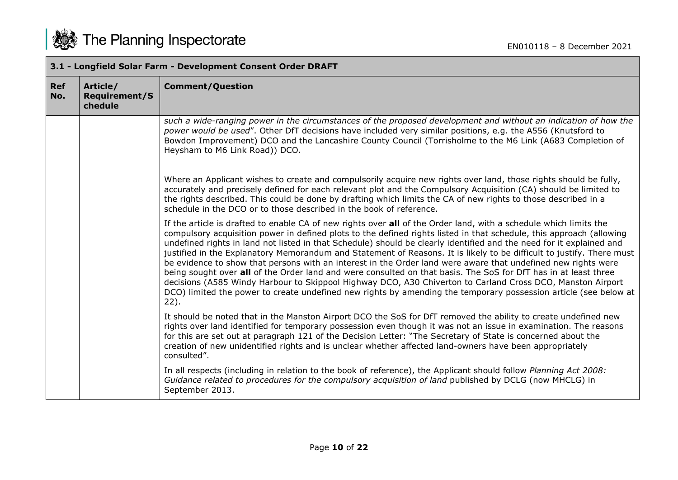

|            | 3.1 - Longfield Solar Farm - Development Consent Order DRAFT |                                                                                                                                                                                                                                                                                                                                                                                                                                                                                                                                                                                                                                                                                                                                                                                                                                                                                                                                                                             |  |
|------------|--------------------------------------------------------------|-----------------------------------------------------------------------------------------------------------------------------------------------------------------------------------------------------------------------------------------------------------------------------------------------------------------------------------------------------------------------------------------------------------------------------------------------------------------------------------------------------------------------------------------------------------------------------------------------------------------------------------------------------------------------------------------------------------------------------------------------------------------------------------------------------------------------------------------------------------------------------------------------------------------------------------------------------------------------------|--|
| Ref<br>No. | Article/<br><b>Requirement/S</b><br>chedule                  | <b>Comment/Question</b>                                                                                                                                                                                                                                                                                                                                                                                                                                                                                                                                                                                                                                                                                                                                                                                                                                                                                                                                                     |  |
|            |                                                              | such a wide-ranging power in the circumstances of the proposed development and without an indication of how the<br>power would be used". Other DfT decisions have included very similar positions, e.g. the A556 (Knutsford to<br>Bowdon Improvement) DCO and the Lancashire County Council (Torrisholme to the M6 Link (A683 Completion of<br>Heysham to M6 Link Road)) DCO.                                                                                                                                                                                                                                                                                                                                                                                                                                                                                                                                                                                               |  |
|            |                                                              | Where an Applicant wishes to create and compulsorily acquire new rights over land, those rights should be fully,<br>accurately and precisely defined for each relevant plot and the Compulsory Acquisition (CA) should be limited to<br>the rights described. This could be done by drafting which limits the CA of new rights to those described in a<br>schedule in the DCO or to those described in the book of reference.                                                                                                                                                                                                                                                                                                                                                                                                                                                                                                                                               |  |
|            |                                                              | If the article is drafted to enable CA of new rights over all of the Order land, with a schedule which limits the<br>compulsory acquisition power in defined plots to the defined rights listed in that schedule, this approach (allowing<br>undefined rights in land not listed in that Schedule) should be clearly identified and the need for it explained and<br>justified in the Explanatory Memorandum and Statement of Reasons. It is likely to be difficult to justify. There must<br>be evidence to show that persons with an interest in the Order land were aware that undefined new rights were<br>being sought over all of the Order land and were consulted on that basis. The SoS for DfT has in at least three<br>decisions (A585 Windy Harbour to Skippool Highway DCO, A30 Chiverton to Carland Cross DCO, Manston Airport<br>DCO) limited the power to create undefined new rights by amending the temporary possession article (see below at<br>$22$ ). |  |
|            |                                                              | It should be noted that in the Manston Airport DCO the SoS for DfT removed the ability to create undefined new<br>rights over land identified for temporary possession even though it was not an issue in examination. The reasons<br>for this are set out at paragraph 121 of the Decision Letter: "The Secretary of State is concerned about the<br>creation of new unidentified rights and is unclear whether affected land-owners have been appropriately<br>consulted".                                                                                                                                                                                                                                                                                                                                                                                                                                                                                                |  |
|            |                                                              | In all respects (including in relation to the book of reference), the Applicant should follow Planning Act 2008:<br>Guidance related to procedures for the compulsory acquisition of land published by DCLG (now MHCLG) in<br>September 2013.                                                                                                                                                                                                                                                                                                                                                                                                                                                                                                                                                                                                                                                                                                                               |  |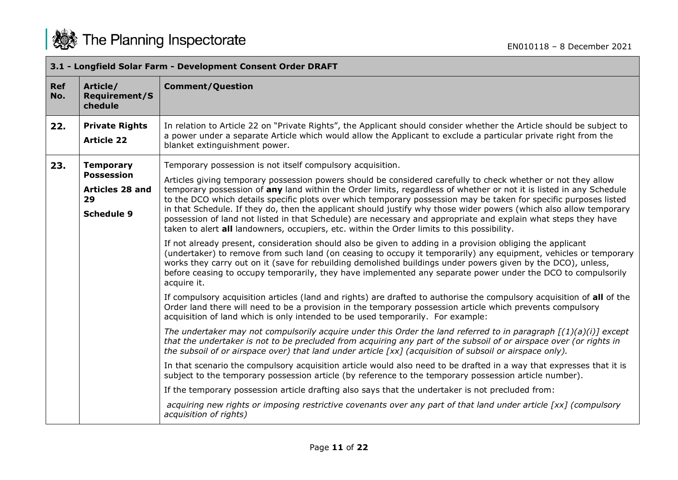|                   | 3.1 - Longfield Solar Farm - Development Consent Order DRAFT           |                                                                                                                                                                                                                                                                                                                                                                                                                                                                                                                                                                                                                                                                                                  |  |
|-------------------|------------------------------------------------------------------------|--------------------------------------------------------------------------------------------------------------------------------------------------------------------------------------------------------------------------------------------------------------------------------------------------------------------------------------------------------------------------------------------------------------------------------------------------------------------------------------------------------------------------------------------------------------------------------------------------------------------------------------------------------------------------------------------------|--|
| <b>Ref</b><br>No. | Article/<br><b>Requirement/S</b><br>chedule                            | <b>Comment/Question</b>                                                                                                                                                                                                                                                                                                                                                                                                                                                                                                                                                                                                                                                                          |  |
| 22.               | <b>Private Rights</b><br><b>Article 22</b>                             | In relation to Article 22 on "Private Rights", the Applicant should consider whether the Article should be subject to<br>a power under a separate Article which would allow the Applicant to exclude a particular private right from the<br>blanket extinguishment power.                                                                                                                                                                                                                                                                                                                                                                                                                        |  |
| 23.               | <b>Temporary</b>                                                       | Temporary possession is not itself compulsory acquisition.                                                                                                                                                                                                                                                                                                                                                                                                                                                                                                                                                                                                                                       |  |
|                   | <b>Possession</b><br><b>Articles 28 and</b><br>29<br><b>Schedule 9</b> | Articles giving temporary possession powers should be considered carefully to check whether or not they allow<br>temporary possession of any land within the Order limits, regardless of whether or not it is listed in any Schedule<br>to the DCO which details specific plots over which temporary possession may be taken for specific purposes listed<br>in that Schedule. If they do, then the applicant should justify why those wider powers (which also allow temporary<br>possession of land not listed in that Schedule) are necessary and appropriate and explain what steps they have<br>taken to alert all landowners, occupiers, etc. within the Order limits to this possibility. |  |
|                   |                                                                        | If not already present, consideration should also be given to adding in a provision obliging the applicant<br>(undertaker) to remove from such land (on ceasing to occupy it temporarily) any equipment, vehicles or temporary<br>works they carry out on it (save for rebuilding demolished buildings under powers given by the DCO), unless,<br>before ceasing to occupy temporarily, they have implemented any separate power under the DCO to compulsorily<br>acquire it.                                                                                                                                                                                                                    |  |
|                   |                                                                        | If compulsory acquisition articles (land and rights) are drafted to authorise the compulsory acquisition of all of the<br>Order land there will need to be a provision in the temporary possession article which prevents compulsory<br>acquisition of land which is only intended to be used temporarily. For example:                                                                                                                                                                                                                                                                                                                                                                          |  |
|                   |                                                                        | The undertaker may not compulsorily acquire under this Order the land referred to in paragraph $[(1)(a)(i)]$ except<br>that the undertaker is not to be precluded from acquiring any part of the subsoil of or airspace over (or rights in<br>the subsoil of or airspace over) that land under article [xx] (acquisition of subsoil or airspace only).                                                                                                                                                                                                                                                                                                                                           |  |
|                   |                                                                        | In that scenario the compulsory acquisition article would also need to be drafted in a way that expresses that it is<br>subject to the temporary possession article (by reference to the temporary possession article number).                                                                                                                                                                                                                                                                                                                                                                                                                                                                   |  |
|                   |                                                                        | If the temporary possession article drafting also says that the undertaker is not precluded from:                                                                                                                                                                                                                                                                                                                                                                                                                                                                                                                                                                                                |  |
|                   |                                                                        | acquiring new rights or imposing restrictive covenants over any part of that land under article [xx] (compulsory<br>acquisition of rights)                                                                                                                                                                                                                                                                                                                                                                                                                                                                                                                                                       |  |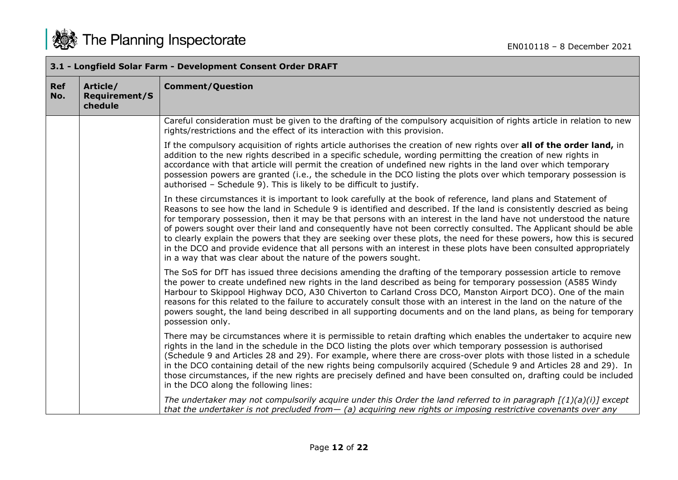|                   | 3.1 - Longfield Solar Farm - Development Consent Order DRAFT |                                                                                                                                                                                                                                                                                                                                                                                                                                                                                                                                                                                                                                                                                                                                                                                                  |  |
|-------------------|--------------------------------------------------------------|--------------------------------------------------------------------------------------------------------------------------------------------------------------------------------------------------------------------------------------------------------------------------------------------------------------------------------------------------------------------------------------------------------------------------------------------------------------------------------------------------------------------------------------------------------------------------------------------------------------------------------------------------------------------------------------------------------------------------------------------------------------------------------------------------|--|
| <b>Ref</b><br>No. | Article/<br><b>Requirement/S</b><br>chedule                  | <b>Comment/Question</b>                                                                                                                                                                                                                                                                                                                                                                                                                                                                                                                                                                                                                                                                                                                                                                          |  |
|                   |                                                              | Careful consideration must be given to the drafting of the compulsory acquisition of rights article in relation to new<br>rights/restrictions and the effect of its interaction with this provision.                                                                                                                                                                                                                                                                                                                                                                                                                                                                                                                                                                                             |  |
|                   |                                                              | If the compulsory acquisition of rights article authorises the creation of new rights over all of the order land, in<br>addition to the new rights described in a specific schedule, wording permitting the creation of new rights in<br>accordance with that article will permit the creation of undefined new rights in the land over which temporary<br>possession powers are granted (i.e., the schedule in the DCO listing the plots over which temporary possession is<br>authorised - Schedule 9). This is likely to be difficult to justify.                                                                                                                                                                                                                                             |  |
|                   |                                                              | In these circumstances it is important to look carefully at the book of reference, land plans and Statement of<br>Reasons to see how the land in Schedule 9 is identified and described. If the land is consistently descried as being<br>for temporary possession, then it may be that persons with an interest in the land have not understood the nature<br>of powers sought over their land and consequently have not been correctly consulted. The Applicant should be able<br>to clearly explain the powers that they are seeking over these plots, the need for these powers, how this is secured<br>in the DCO and provide evidence that all persons with an interest in these plots have been consulted appropriately<br>in a way that was clear about the nature of the powers sought. |  |
|                   |                                                              | The SoS for DfT has issued three decisions amending the drafting of the temporary possession article to remove<br>the power to create undefined new rights in the land described as being for temporary possession (A585 Windy<br>Harbour to Skippool Highway DCO, A30 Chiverton to Carland Cross DCO, Manston Airport DCO). One of the main<br>reasons for this related to the failure to accurately consult those with an interest in the land on the nature of the<br>powers sought, the land being described in all supporting documents and on the land plans, as being for temporary<br>possession only.                                                                                                                                                                                   |  |
|                   |                                                              | There may be circumstances where it is permissible to retain drafting which enables the undertaker to acquire new<br>rights in the land in the schedule in the DCO listing the plots over which temporary possession is authorised<br>(Schedule 9 and Articles 28 and 29). For example, where there are cross-over plots with those listed in a schedule<br>in the DCO containing detail of the new rights being compulsorily acquired (Schedule 9 and Articles 28 and 29). In<br>those circumstances, if the new rights are precisely defined and have been consulted on, drafting could be included<br>in the DCO along the following lines:                                                                                                                                                   |  |
|                   |                                                              | The undertaker may not compulsorily acquire under this Order the land referred to in paragraph $[(1)(a)(i)]$ except<br>that the undertaker is not precluded from $-$ (a) acquiring new rights or imposing restrictive covenants over any                                                                                                                                                                                                                                                                                                                                                                                                                                                                                                                                                         |  |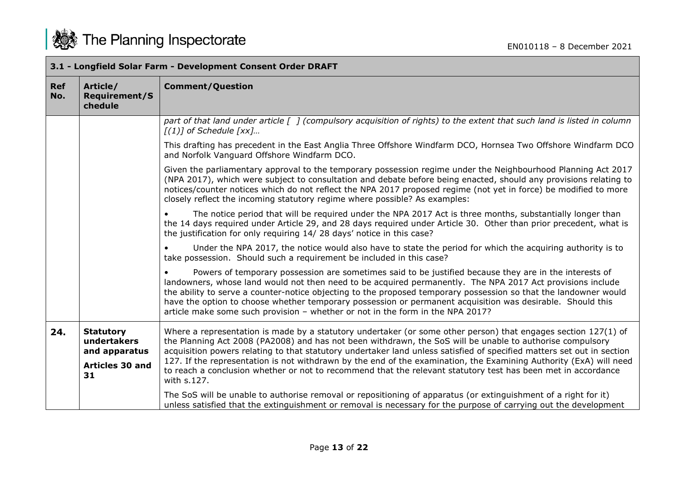

|                   | 3.1 - Longfield Solar Farm - Development Consent Order DRAFT |                                                                                                                                                                                                                                                                                                                                                                                                                                                                                                                                          |  |
|-------------------|--------------------------------------------------------------|------------------------------------------------------------------------------------------------------------------------------------------------------------------------------------------------------------------------------------------------------------------------------------------------------------------------------------------------------------------------------------------------------------------------------------------------------------------------------------------------------------------------------------------|--|
| <b>Ref</b><br>No. | Article/<br><b>Requirement/S</b><br>chedule                  | <b>Comment/Question</b>                                                                                                                                                                                                                                                                                                                                                                                                                                                                                                                  |  |
|                   |                                                              | part of that land under article [ ] (compulsory acquisition of rights) to the extent that such land is listed in column<br>$[(1)]$ of Schedule $[xx]$                                                                                                                                                                                                                                                                                                                                                                                    |  |
|                   |                                                              | This drafting has precedent in the East Anglia Three Offshore Windfarm DCO, Hornsea Two Offshore Windfarm DCO<br>and Norfolk Vanguard Offshore Windfarm DCO.                                                                                                                                                                                                                                                                                                                                                                             |  |
|                   |                                                              | Given the parliamentary approval to the temporary possession regime under the Neighbourhood Planning Act 2017<br>(NPA 2017), which were subject to consultation and debate before being enacted, should any provisions relating to<br>notices/counter notices which do not reflect the NPA 2017 proposed regime (not yet in force) be modified to more<br>closely reflect the incoming statutory regime where possible? As examples:                                                                                                     |  |
|                   |                                                              | The notice period that will be required under the NPA 2017 Act is three months, substantially longer than<br>the 14 days required under Article 29, and 28 days required under Article 30. Other than prior precedent, what is<br>the justification for only requiring 14/28 days' notice in this case?                                                                                                                                                                                                                                  |  |
|                   |                                                              | Under the NPA 2017, the notice would also have to state the period for which the acquiring authority is to<br>take possession. Should such a requirement be included in this case?                                                                                                                                                                                                                                                                                                                                                       |  |
|                   |                                                              | Powers of temporary possession are sometimes said to be justified because they are in the interests of<br>landowners, whose land would not then need to be acquired permanently. The NPA 2017 Act provisions include<br>the ability to serve a counter-notice objecting to the proposed temporary possession so that the landowner would<br>have the option to choose whether temporary possession or permanent acquisition was desirable. Should this<br>article make some such provision - whether or not in the form in the NPA 2017? |  |
| 24.               | <b>Statutory</b><br>undertakers<br>and apparatus             | Where a representation is made by a statutory undertaker (or some other person) that engages section 127(1) of<br>the Planning Act 2008 (PA2008) and has not been withdrawn, the SoS will be unable to authorise compulsory<br>acquisition powers relating to that statutory undertaker land unless satisfied of specified matters set out in section                                                                                                                                                                                    |  |
|                   | <b>Articles 30 and</b><br>31                                 | 127. If the representation is not withdrawn by the end of the examination, the Examining Authority (ExA) will need<br>to reach a conclusion whether or not to recommend that the relevant statutory test has been met in accordance<br>with s.127.                                                                                                                                                                                                                                                                                       |  |
|                   |                                                              | The SoS will be unable to authorise removal or repositioning of apparatus (or extinguishment of a right for it)<br>unless satisfied that the extinguishment or removal is necessary for the purpose of carrying out the development                                                                                                                                                                                                                                                                                                      |  |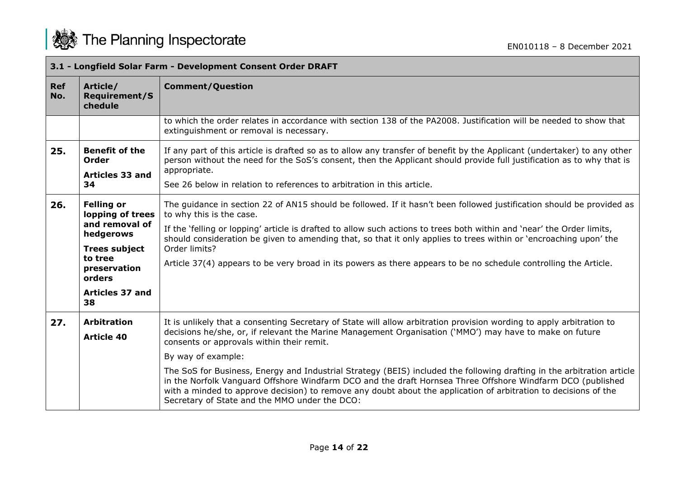| 3.1 - Longfield Solar Farm - Development Consent Order DRAFT |                                                                                                                                                                   |                                                                                                                                                                                                                                                                                                                                                                                                                                                                                                                                       |
|--------------------------------------------------------------|-------------------------------------------------------------------------------------------------------------------------------------------------------------------|---------------------------------------------------------------------------------------------------------------------------------------------------------------------------------------------------------------------------------------------------------------------------------------------------------------------------------------------------------------------------------------------------------------------------------------------------------------------------------------------------------------------------------------|
| <b>Ref</b><br>No.                                            | Article/<br><b>Requirement/S</b><br>chedule                                                                                                                       | <b>Comment/Question</b>                                                                                                                                                                                                                                                                                                                                                                                                                                                                                                               |
|                                                              |                                                                                                                                                                   | to which the order relates in accordance with section 138 of the PA2008. Justification will be needed to show that<br>extinguishment or removal is necessary.                                                                                                                                                                                                                                                                                                                                                                         |
| 25.                                                          | <b>Benefit of the</b><br>Order<br>Articles 33 and<br>34                                                                                                           | If any part of this article is drafted so as to allow any transfer of benefit by the Applicant (undertaker) to any other<br>person without the need for the SoS's consent, then the Applicant should provide full justification as to why that is<br>appropriate.                                                                                                                                                                                                                                                                     |
|                                                              |                                                                                                                                                                   | See 26 below in relation to references to arbitration in this article.                                                                                                                                                                                                                                                                                                                                                                                                                                                                |
| 26.                                                          | <b>Felling or</b><br>lopping of trees<br>and removal of<br>hedgerows<br><b>Trees subject</b><br>to tree<br>preservation<br>orders<br><b>Articles 37 and</b><br>38 | The guidance in section 22 of AN15 should be followed. If it hasn't been followed justification should be provided as<br>to why this is the case.<br>If the 'felling or lopping' article is drafted to allow such actions to trees both within and 'near' the Order limits,<br>should consideration be given to amending that, so that it only applies to trees within or 'encroaching upon' the<br>Order limits?<br>Article 37(4) appears to be very broad in its powers as there appears to be no schedule controlling the Article. |
|                                                              |                                                                                                                                                                   |                                                                                                                                                                                                                                                                                                                                                                                                                                                                                                                                       |
| 27.                                                          | <b>Arbitration</b>                                                                                                                                                | It is unlikely that a consenting Secretary of State will allow arbitration provision wording to apply arbitration to<br>decisions he/she, or, if relevant the Marine Management Organisation ('MMO') may have to make on future                                                                                                                                                                                                                                                                                                       |
|                                                              | <b>Article 40</b>                                                                                                                                                 | consents or approvals within their remit.                                                                                                                                                                                                                                                                                                                                                                                                                                                                                             |
|                                                              |                                                                                                                                                                   | By way of example:                                                                                                                                                                                                                                                                                                                                                                                                                                                                                                                    |
|                                                              |                                                                                                                                                                   | The SoS for Business, Energy and Industrial Strategy (BEIS) included the following drafting in the arbitration article<br>in the Norfolk Vanguard Offshore Windfarm DCO and the draft Hornsea Three Offshore Windfarm DCO (published<br>with a minded to approve decision) to remove any doubt about the application of arbitration to decisions of the<br>Secretary of State and the MMO under the DCO:                                                                                                                              |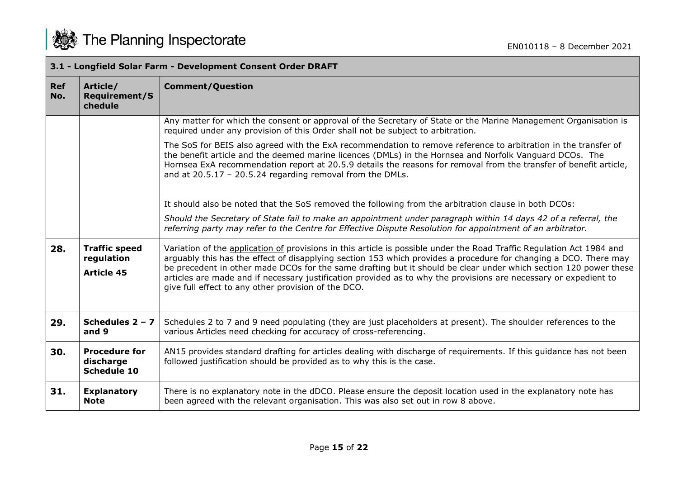

|                   | 3.1 - Longfield Solar Farm - Development Consent Order DRAFT |                                                                                                                                                                                                                                                                                                                                                                                                                                                                                                                                          |  |
|-------------------|--------------------------------------------------------------|------------------------------------------------------------------------------------------------------------------------------------------------------------------------------------------------------------------------------------------------------------------------------------------------------------------------------------------------------------------------------------------------------------------------------------------------------------------------------------------------------------------------------------------|--|
| <b>Ref</b><br>No. | Article/<br><b>Requirement/S</b><br>chedule                  | <b>Comment/Question</b>                                                                                                                                                                                                                                                                                                                                                                                                                                                                                                                  |  |
|                   |                                                              | Any matter for which the consent or approval of the Secretary of State or the Marine Management Organisation is<br>required under any provision of this Order shall not be subject to arbitration.                                                                                                                                                                                                                                                                                                                                       |  |
|                   |                                                              | The SoS for BEIS also agreed with the ExA recommendation to remove reference to arbitration in the transfer of<br>the benefit article and the deemed marine licences (DMLs) in the Hornsea and Norfolk Vanguard DCOs. The<br>Hornsea ExA recommendation report at 20.5.9 details the reasons for removal from the transfer of benefit article,<br>and at $20.5.17 - 20.5.24$ regarding removal from the DMLs.                                                                                                                            |  |
|                   |                                                              | It should also be noted that the SoS removed the following from the arbitration clause in both DCOs:                                                                                                                                                                                                                                                                                                                                                                                                                                     |  |
|                   |                                                              | Should the Secretary of State fail to make an appointment under paragraph within 14 days 42 of a referral, the<br>referring party may refer to the Centre for Effective Dispute Resolution for appointment of an arbitrator.                                                                                                                                                                                                                                                                                                             |  |
| 28.               | <b>Traffic speed</b><br>regulation<br><b>Article 45</b>      | Variation of the application of provisions in this article is possible under the Road Traffic Regulation Act 1984 and<br>arguably this has the effect of disapplying section 153 which provides a procedure for changing a DCO. There may<br>be precedent in other made DCOs for the same drafting but it should be clear under which section 120 power these<br>articles are made and if necessary justification provided as to why the provisions are necessary or expedient to<br>give full effect to any other provision of the DCO. |  |
| 29.               | Schedules $2 - 7$<br>and 9                                   | Schedules 2 to 7 and 9 need populating (they are just placeholders at present). The shoulder references to the<br>various Articles need checking for accuracy of cross-referencing.                                                                                                                                                                                                                                                                                                                                                      |  |
| 30.               | <b>Procedure for</b><br>discharge<br><b>Schedule 10</b>      | AN15 provides standard drafting for articles dealing with discharge of requirements. If this guidance has not been<br>followed justification should be provided as to why this is the case.                                                                                                                                                                                                                                                                                                                                              |  |
| 31.               | <b>Explanatory</b><br><b>Note</b>                            | There is no explanatory note in the dDCO. Please ensure the deposit location used in the explanatory note has<br>been agreed with the relevant organisation. This was also set out in row 8 above.                                                                                                                                                                                                                                                                                                                                       |  |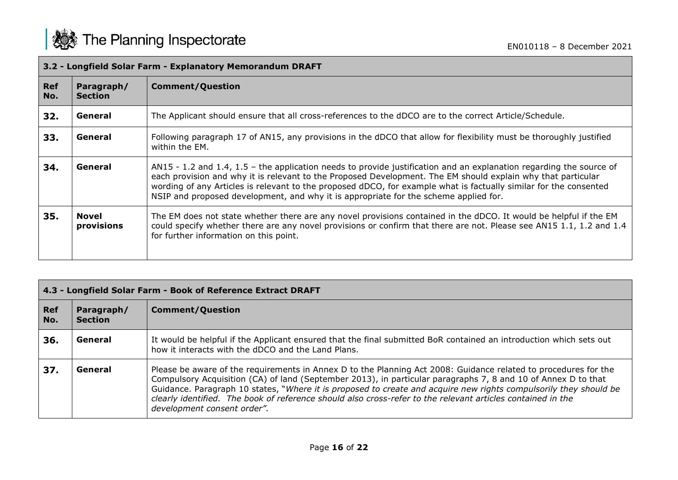г

|            | 3.2 - Longfield Solar Farm - Explanatory Memorandum DRAFT |                                                                                                                                                                                                                                                                                                                                                                                                                                                  |  |
|------------|-----------------------------------------------------------|--------------------------------------------------------------------------------------------------------------------------------------------------------------------------------------------------------------------------------------------------------------------------------------------------------------------------------------------------------------------------------------------------------------------------------------------------|--|
| Ref<br>No. | Paragraph/<br><b>Section</b>                              | <b>Comment/Question</b>                                                                                                                                                                                                                                                                                                                                                                                                                          |  |
| 32.        | General                                                   | The Applicant should ensure that all cross-references to the dDCO are to the correct Article/Schedule.                                                                                                                                                                                                                                                                                                                                           |  |
| 33.        | General                                                   | Following paragraph 17 of AN15, any provisions in the dDCO that allow for flexibility must be thoroughly justified<br>within the EM.                                                                                                                                                                                                                                                                                                             |  |
| 34.        | General                                                   | AN15 - 1.2 and 1.4, 1.5 - the application needs to provide justification and an explanation regarding the source of<br>each provision and why it is relevant to the Proposed Development. The EM should explain why that particular<br>wording of any Articles is relevant to the proposed dDCO, for example what is factually similar for the consented<br>NSIP and proposed development, and why it is appropriate for the scheme applied for. |  |
| 35.        | <b>Novel</b><br>provisions                                | The EM does not state whether there are any novel provisions contained in the dDCO. It would be helpful if the EM<br>could specify whether there are any novel provisions or confirm that there are not. Please see AN15 1.1, 1.2 and 1.4<br>for further information on this point.                                                                                                                                                              |  |

| 4.3 - Longfield Solar Farm - Book of Reference Extract DRAFT |                              |                                                                                                                                                                                                                                                                                                                                                                                                                                                                                                     |
|--------------------------------------------------------------|------------------------------|-----------------------------------------------------------------------------------------------------------------------------------------------------------------------------------------------------------------------------------------------------------------------------------------------------------------------------------------------------------------------------------------------------------------------------------------------------------------------------------------------------|
| <b>Ref</b><br>No.                                            | Paragraph/<br><b>Section</b> | <b>Comment/Question</b>                                                                                                                                                                                                                                                                                                                                                                                                                                                                             |
| 36.                                                          | General                      | It would be helpful if the Applicant ensured that the final submitted BoR contained an introduction which sets out<br>how it interacts with the dDCO and the Land Plans.                                                                                                                                                                                                                                                                                                                            |
| 37.                                                          | General                      | Please be aware of the requirements in Annex D to the Planning Act 2008: Guidance related to procedures for the<br>Compulsory Acquisition (CA) of land (September 2013), in particular paragraphs 7, 8 and 10 of Annex D to that<br>Guidance. Paragraph 10 states, "Where it is proposed to create and acquire new rights compulsorily they should be<br>clearly identified. The book of reference should also cross-refer to the relevant articles contained in the<br>development consent order". |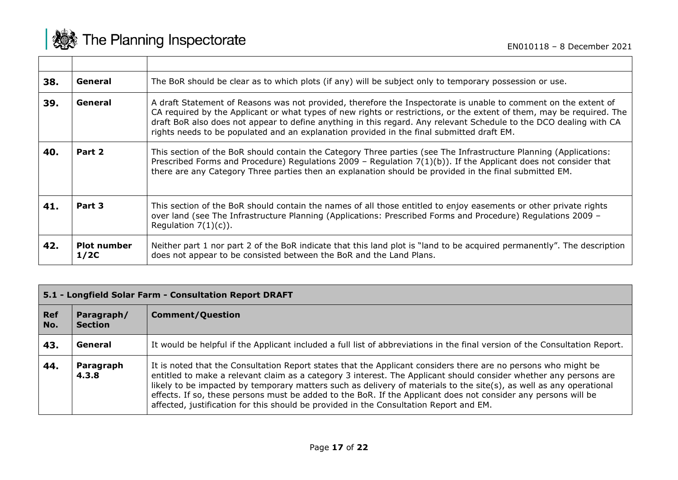

 $\overline{\phantom{a}}$ 

 $\Gamma$ 

| 38. | General                    | The BoR should be clear as to which plots (if any) will be subject only to temporary possession or use.                                                                                                                                                                                                                                                                                                                                                     |
|-----|----------------------------|-------------------------------------------------------------------------------------------------------------------------------------------------------------------------------------------------------------------------------------------------------------------------------------------------------------------------------------------------------------------------------------------------------------------------------------------------------------|
| 39. | General                    | A draft Statement of Reasons was not provided, therefore the Inspectorate is unable to comment on the extent of<br>CA required by the Applicant or what types of new rights or restrictions, or the extent of them, may be required. The<br>draft BoR also does not appear to define anything in this regard. Any relevant Schedule to the DCO dealing with CA<br>rights needs to be populated and an explanation provided in the final submitted draft EM. |
| 40. | Part 2                     | This section of the BoR should contain the Category Three parties (see The Infrastructure Planning (Applications:<br>Prescribed Forms and Procedure) Regulations 2009 - Regulation $7(1)(b)$ . If the Applicant does not consider that<br>there are any Category Three parties then an explanation should be provided in the final submitted EM.                                                                                                            |
| 41. | Part 3                     | This section of the BoR should contain the names of all those entitled to enjoy easements or other private rights<br>over land (see The Infrastructure Planning (Applications: Prescribed Forms and Procedure) Regulations 2009 -<br>Regulation $7(1)(c)$ ).                                                                                                                                                                                                |
| 42. | <b>Plot number</b><br>1/2C | Neither part 1 nor part 2 of the BoR indicate that this land plot is "land to be acquired permanently". The description<br>does not appear to be consisted between the BoR and the Land Plans.                                                                                                                                                                                                                                                              |

| 5.1 - Longfield Solar Farm - Consultation Report DRAFT |                              |                                                                                                                                                                                                                                                                                                                                                                                                                                                                                                                                                                        |
|--------------------------------------------------------|------------------------------|------------------------------------------------------------------------------------------------------------------------------------------------------------------------------------------------------------------------------------------------------------------------------------------------------------------------------------------------------------------------------------------------------------------------------------------------------------------------------------------------------------------------------------------------------------------------|
| Ref<br>  No.                                           | Paragraph/<br><b>Section</b> | <b>Comment/Question</b>                                                                                                                                                                                                                                                                                                                                                                                                                                                                                                                                                |
| 43.                                                    | General                      | It would be helpful if the Applicant included a full list of abbreviations in the final version of the Consultation Report.                                                                                                                                                                                                                                                                                                                                                                                                                                            |
| 44.                                                    | Paragraph<br>4.3.8           | It is noted that the Consultation Report states that the Applicant considers there are no persons who might be<br>entitled to make a relevant claim as a category 3 interest. The Applicant should consider whether any persons are<br>likely to be impacted by temporary matters such as delivery of materials to the site(s), as well as any operational<br>effects. If so, these persons must be added to the BoR. If the Applicant does not consider any persons will be<br>affected, justification for this should be provided in the Consultation Report and EM. |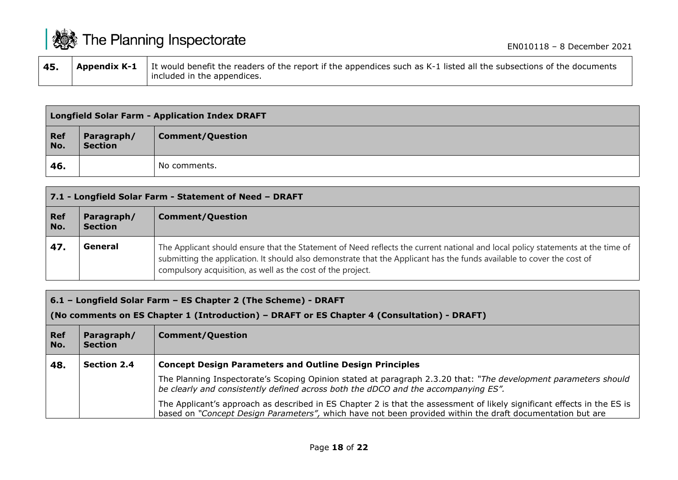| <b>機 The Planning Inspectorate</b><br>EN010118 - 8 December 2021 |                     |                                                                                                                                                     |
|------------------------------------------------------------------|---------------------|-----------------------------------------------------------------------------------------------------------------------------------------------------|
| 45.                                                              | <b>Appendix K-1</b> | It would benefit the readers of the report if the appendices such as K-1 listed all the subsections of the documents<br>included in the appendices. |

|                   | <b>Longfield Solar Farm - Application Index DRAFT</b> |                         |  |
|-------------------|-------------------------------------------------------|-------------------------|--|
| <b>Ref</b><br>No. | Paragraph/<br><b>Section</b>                          | <b>Comment/Question</b> |  |
| 46.               |                                                       | No comments.            |  |

| 7.1 - Longfield Solar Farm - Statement of Need - DRAFT |                              |                                                                                                                                                                                                                                                                                                                          |
|--------------------------------------------------------|------------------------------|--------------------------------------------------------------------------------------------------------------------------------------------------------------------------------------------------------------------------------------------------------------------------------------------------------------------------|
| <b>Ref</b><br>No.                                      | Paragraph/<br><b>Section</b> | <b>Comment/Question</b>                                                                                                                                                                                                                                                                                                  |
| 47.                                                    | General                      | The Applicant should ensure that the Statement of Need reflects the current national and local policy statements at the time of<br>submitting the application. It should also demonstrate that the Applicant has the funds available to cover the cost of<br>compulsory acquisition, as well as the cost of the project. |

**6.1 – Longfield Solar Farm – ES Chapter 2 (The Scheme) - DRAFT**

**(No comments on ES Chapter 1 (Introduction) – DRAFT or ES Chapter 4 (Consultation) - DRAFT)**

| <b>Ref</b><br>No. | Paragraph/<br><b>Section</b> | <b>Comment/Question</b>                                                                                                                                                                                                              |
|-------------------|------------------------------|--------------------------------------------------------------------------------------------------------------------------------------------------------------------------------------------------------------------------------------|
| 48.               | <b>Section 2.4</b>           | <b>Concept Design Parameters and Outline Design Principles</b>                                                                                                                                                                       |
|                   |                              | The Planning Inspectorate's Scoping Opinion stated at paragraph 2.3.20 that: "The development parameters should<br>be clearly and consistently defined across both the dDCO and the accompanying ES".                                |
|                   |                              | The Applicant's approach as described in ES Chapter 2 is that the assessment of likely significant effects in the ES is<br>based on "Concept Design Parameters", which have not been provided within the draft documentation but are |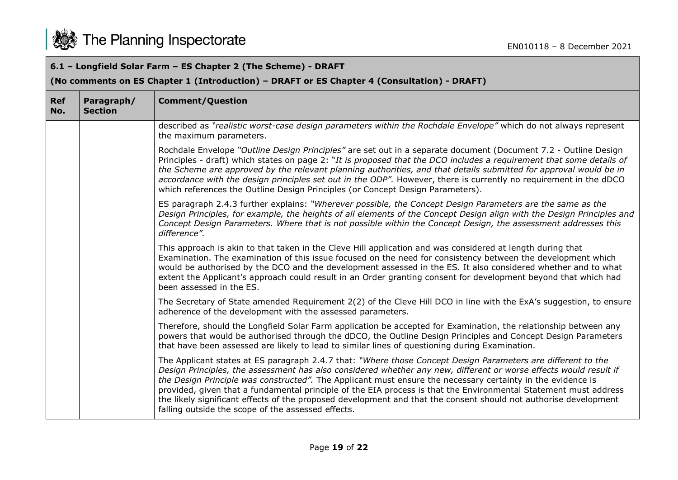

## **6.1 – Longfield Solar Farm – ES Chapter 2 (The Scheme) - DRAFT**

## **(No comments on ES Chapter 1 (Introduction) – DRAFT or ES Chapter 4 (Consultation) - DRAFT)**

| <b>Ref</b><br>No. | Paragraph/<br><b>Section</b> | <b>Comment/Question</b>                                                                                                                                                                                                                                                                                                                                                                                                                                                                                                                                                                                                                        |
|-------------------|------------------------------|------------------------------------------------------------------------------------------------------------------------------------------------------------------------------------------------------------------------------------------------------------------------------------------------------------------------------------------------------------------------------------------------------------------------------------------------------------------------------------------------------------------------------------------------------------------------------------------------------------------------------------------------|
|                   |                              | described as "realistic worst-case design parameters within the Rochdale Envelope" which do not always represent<br>the maximum parameters.                                                                                                                                                                                                                                                                                                                                                                                                                                                                                                    |
|                   |                              | Rochdale Envelope "Outline Design Principles" are set out in a separate document (Document 7.2 - Outline Design<br>Principles - draft) which states on page 2: "It is proposed that the DCO includes a requirement that some details of<br>the Scheme are approved by the relevant planning authorities, and that details submitted for approval would be in<br>accordance with the design principles set out in the ODP". However, there is currently no requirement in the dDCO<br>which references the Outline Design Principles (or Concept Design Parameters).                                                                            |
|                   |                              | ES paragraph 2.4.3 further explains: "Wherever possible, the Concept Design Parameters are the same as the<br>Design Principles, for example, the heights of all elements of the Concept Design align with the Design Principles and<br>Concept Design Parameters. Where that is not possible within the Concept Design, the assessment addresses this<br>difference".                                                                                                                                                                                                                                                                         |
|                   |                              | This approach is akin to that taken in the Cleve Hill application and was considered at length during that<br>Examination. The examination of this issue focused on the need for consistency between the development which<br>would be authorised by the DCO and the development assessed in the ES. It also considered whether and to what<br>extent the Applicant's approach could result in an Order granting consent for development beyond that which had<br>been assessed in the ES.                                                                                                                                                     |
|                   |                              | The Secretary of State amended Requirement 2(2) of the Cleve Hill DCO in line with the ExA's suggestion, to ensure<br>adherence of the development with the assessed parameters.                                                                                                                                                                                                                                                                                                                                                                                                                                                               |
|                   |                              | Therefore, should the Longfield Solar Farm application be accepted for Examination, the relationship between any<br>powers that would be authorised through the dDCO, the Outline Design Principles and Concept Design Parameters<br>that have been assessed are likely to lead to similar lines of questioning during Examination.                                                                                                                                                                                                                                                                                                            |
|                   |                              | The Applicant states at ES paragraph 2.4.7 that: "Where those Concept Design Parameters are different to the<br>Design Principles, the assessment has also considered whether any new, different or worse effects would result if<br>the Design Principle was constructed". The Applicant must ensure the necessary certainty in the evidence is<br>provided, given that a fundamental principle of the EIA process is that the Environmental Statement must address<br>the likely significant effects of the proposed development and that the consent should not authorise development<br>falling outside the scope of the assessed effects. |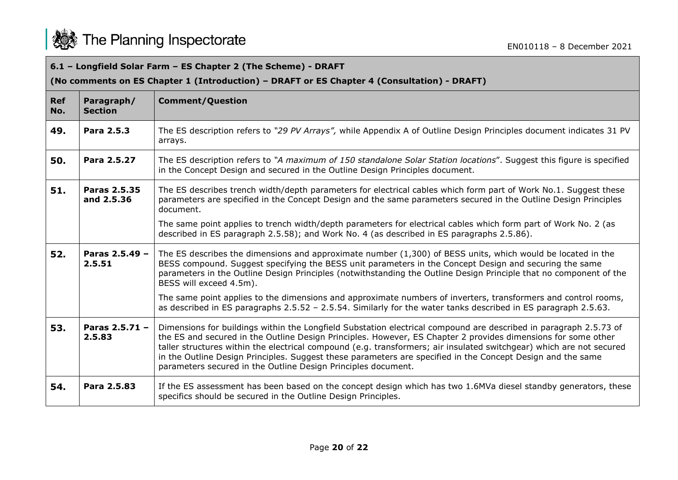

## **6.1 – Longfield Solar Farm – ES Chapter 2 (The Scheme) - DRAFT**

## **(No comments on ES Chapter 1 (Introduction) – DRAFT or ES Chapter 4 (Consultation) - DRAFT)**

| <b>Ref</b><br>No. | Paragraph/<br><b>Section</b> | <b>Comment/Question</b>                                                                                                                                                                                                                                                                                                                                                                                                                                                                                                                    |
|-------------------|------------------------------|--------------------------------------------------------------------------------------------------------------------------------------------------------------------------------------------------------------------------------------------------------------------------------------------------------------------------------------------------------------------------------------------------------------------------------------------------------------------------------------------------------------------------------------------|
| 49.               | Para 2.5.3                   | The ES description refers to "29 PV Arrays", while Appendix A of Outline Design Principles document indicates 31 PV<br>arrays.                                                                                                                                                                                                                                                                                                                                                                                                             |
| 50.               | Para 2.5.27                  | The ES description refers to "A maximum of 150 standalone Solar Station locations". Suggest this figure is specified<br>in the Concept Design and secured in the Outline Design Principles document.                                                                                                                                                                                                                                                                                                                                       |
| 51.               | Paras 2.5.35<br>and 2.5.36   | The ES describes trench width/depth parameters for electrical cables which form part of Work No.1. Suggest these<br>parameters are specified in the Concept Design and the same parameters secured in the Outline Design Principles<br>document.                                                                                                                                                                                                                                                                                           |
|                   |                              | The same point applies to trench width/depth parameters for electrical cables which form part of Work No. 2 (as<br>described in ES paragraph 2.5.58); and Work No. 4 (as described in ES paragraphs 2.5.86).                                                                                                                                                                                                                                                                                                                               |
| 52.               | Paras 2.5.49 -<br>2.5.51     | The ES describes the dimensions and approximate number (1,300) of BESS units, which would be located in the<br>BESS compound. Suggest specifying the BESS unit parameters in the Concept Design and securing the same<br>parameters in the Outline Design Principles (notwithstanding the Outline Design Principle that no component of the<br>BESS will exceed 4.5m).                                                                                                                                                                     |
|                   |                              | The same point applies to the dimensions and approximate numbers of inverters, transformers and control rooms,<br>as described in ES paragraphs 2.5.52 - 2.5.54. Similarly for the water tanks described in ES paragraph 2.5.63.                                                                                                                                                                                                                                                                                                           |
| 53.               | Paras 2.5.71 -<br>2.5.83     | Dimensions for buildings within the Longfield Substation electrical compound are described in paragraph 2.5.73 of<br>the ES and secured in the Outline Design Principles. However, ES Chapter 2 provides dimensions for some other<br>taller structures within the electrical compound (e.g. transformers; air insulated switchgear) which are not secured<br>in the Outline Design Principles. Suggest these parameters are specified in the Concept Design and the same<br>parameters secured in the Outline Design Principles document. |
| 54.               | Para 2.5.83                  | If the ES assessment has been based on the concept design which has two 1.6MVa diesel standby generators, these<br>specifics should be secured in the Outline Design Principles.                                                                                                                                                                                                                                                                                                                                                           |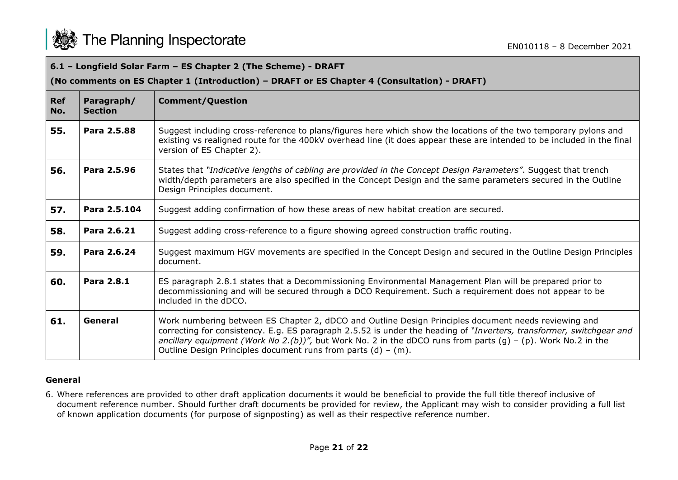

| 6.1 - Longfield Solar Farm - ES Chapter 2 (The Scheme) - DRAFT<br>(No comments on ES Chapter 1 (Introduction) - DRAFT or ES Chapter 4 (Consultation) - DRAFT) |                              |                                                                                                                                                                                                                                                                                                                                                                                                                  |  |
|---------------------------------------------------------------------------------------------------------------------------------------------------------------|------------------------------|------------------------------------------------------------------------------------------------------------------------------------------------------------------------------------------------------------------------------------------------------------------------------------------------------------------------------------------------------------------------------------------------------------------|--|
| Ref<br>No.                                                                                                                                                    | Paragraph/<br><b>Section</b> | <b>Comment/Question</b>                                                                                                                                                                                                                                                                                                                                                                                          |  |
| 55.                                                                                                                                                           | Para 2.5.88                  | Suggest including cross-reference to plans/figures here which show the locations of the two temporary pylons and<br>existing vs realigned route for the 400kV overhead line (it does appear these are intended to be included in the final<br>version of ES Chapter 2).                                                                                                                                          |  |
| 56.                                                                                                                                                           | Para 2.5.96                  | States that "Indicative lengths of cabling are provided in the Concept Design Parameters". Suggest that trench<br>width/depth parameters are also specified in the Concept Design and the same parameters secured in the Outline<br>Design Principles document.                                                                                                                                                  |  |
| 57.                                                                                                                                                           | Para 2.5.104                 | Suggest adding confirmation of how these areas of new habitat creation are secured.                                                                                                                                                                                                                                                                                                                              |  |
| 58.                                                                                                                                                           | Para 2.6.21                  | Suggest adding cross-reference to a figure showing agreed construction traffic routing.                                                                                                                                                                                                                                                                                                                          |  |
| 59.                                                                                                                                                           | Para 2.6.24                  | Suggest maximum HGV movements are specified in the Concept Design and secured in the Outline Design Principles<br>document.                                                                                                                                                                                                                                                                                      |  |
| 60.                                                                                                                                                           | Para 2.8.1                   | ES paragraph 2.8.1 states that a Decommissioning Environmental Management Plan will be prepared prior to<br>decommissioning and will be secured through a DCO Requirement. Such a requirement does not appear to be<br>included in the dDCO.                                                                                                                                                                     |  |
| 61.                                                                                                                                                           | General                      | Work numbering between ES Chapter 2, dDCO and Outline Design Principles document needs reviewing and<br>correcting for consistency. E.g. ES paragraph 2.5.52 is under the heading of "Inverters, transformer, switchgear and<br>ancillary equipment (Work No 2.(b))", but Work No. 2 in the dDCO runs from parts (g) - (p). Work No.2 in the<br>Outline Design Principles document runs from parts $(d) - (m)$ . |  |

## **General**

6. Where references are provided to other draft application documents it would be beneficial to provide the full title thereof inclusive of document reference number. Should further draft documents be provided for review, the Applicant may wish to consider providing a full list of known application documents (for purpose of signposting) as well as their respective reference number.